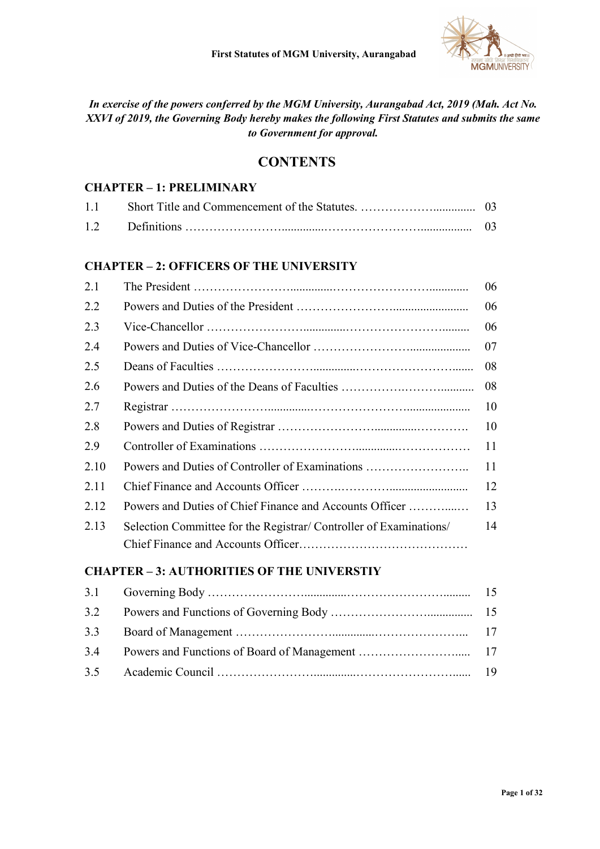

In exercise of the powers conferred by the MGM University, Aurangabad Act, 2019 (Mah. Act No. XXVI of 2019, the Governing Body hereby makes the following First Statutes and submits the same to Government for approval.

## **CONTENTS**

#### CHAPTER – 1: PRELIMINARY

| 1.1 |  |
|-----|--|
|     |  |

#### CHAPTER – 2: OFFICERS OF THE UNIVERSITY

| 2.1  |                                                                    | 06 |
|------|--------------------------------------------------------------------|----|
| 2.2  |                                                                    | 06 |
| 2.3  |                                                                    | 06 |
| 2.4  |                                                                    | 07 |
| 2.5  |                                                                    | 08 |
| 2.6  |                                                                    | 08 |
| 2.7  |                                                                    | 10 |
| 2.8  |                                                                    | 10 |
| 2.9  |                                                                    | 11 |
| 2.10 | Powers and Duties of Controller of Examinations                    | 11 |
| 2.11 |                                                                    | 12 |
| 2.12 | Powers and Duties of Chief Finance and Accounts Officer            | 13 |
| 2.13 | Selection Committee for the Registrar/ Controller of Examinations/ | 14 |
|      |                                                                    |    |

#### CHAPTER – 3: AUTHORITIES OF THE UNIVERSTIY

| 3.2 |  |
|-----|--|
| 3.3 |  |
| 3.4 |  |
|     |  |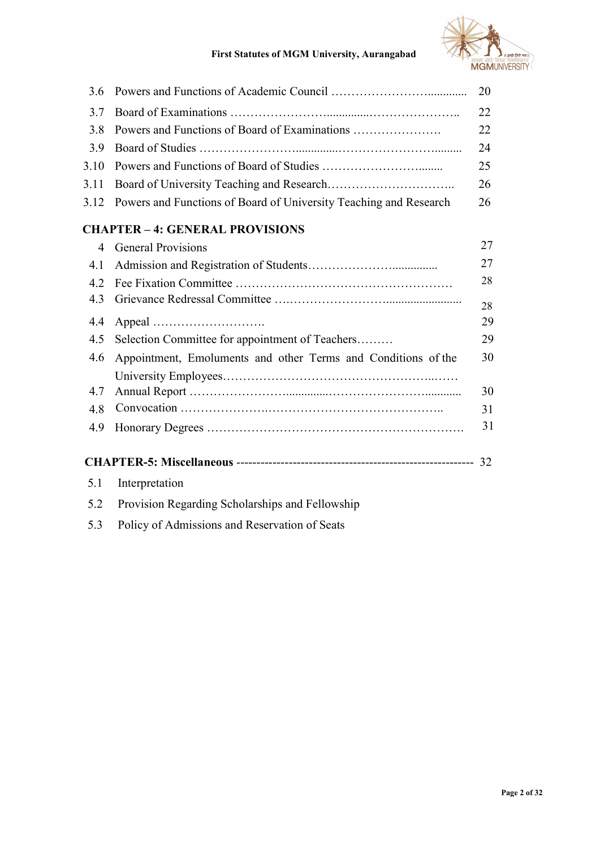

### First Statutes of MGM University, Aurangabad

| 3.6                      |                                                                   | 20 |
|--------------------------|-------------------------------------------------------------------|----|
| 3.7                      |                                                                   | 22 |
| 3.8                      | Powers and Functions of Board of Examinations                     | 22 |
| 3.9                      |                                                                   | 24 |
| 3.10                     |                                                                   | 25 |
| 3.11                     |                                                                   | 26 |
| 3.12                     | Powers and Functions of Board of University Teaching and Research | 26 |
|                          | <b>CHAPTER - 4: GENERAL PROVISIONS</b>                            |    |
| $\overline{\mathcal{A}}$ | <b>General Provisions</b>                                         | 27 |
| 4.1                      |                                                                   | 27 |
| 4.2                      |                                                                   | 28 |
| 4.3                      |                                                                   | 28 |
| 4.4                      |                                                                   | 29 |
| 4.5                      | Selection Committee for appointment of Teachers                   | 29 |
| 4.6                      | Appointment, Emoluments and other Terms and Conditions of the     | 30 |
|                          |                                                                   |    |
| 4.7                      |                                                                   | 30 |
| 4.8                      |                                                                   | 31 |
| 4.9                      |                                                                   | 31 |
|                          |                                                                   |    |
|                          |                                                                   |    |
| 5.1                      | Interpretation                                                    |    |
| 5.2                      | Provision Regarding Scholarships and Fellowship                   |    |
| 5.3                      | Policy of Admissions and Reservation of Seats                     |    |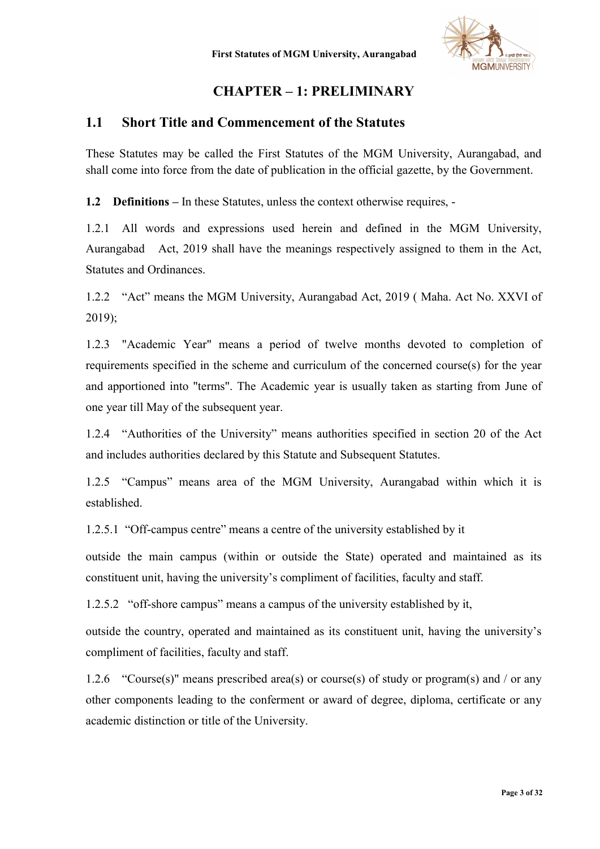

# CHAPTER – 1: PRELIMINARY

#### 1.1 Short Title and Commencement of the Statutes

These Statutes may be called the First Statutes of the MGM University, Aurangabad, and shall come into force from the date of publication in the official gazette, by the Government.

1.2 Definitions – In these Statutes, unless the context otherwise requires, -

1.2.1 All words and expressions used herein and defined in the MGM University, Aurangabad Act, 2019 shall have the meanings respectively assigned to them in the Act, Statutes and Ordinances.

1.2.2 "Act" means the MGM University, Aurangabad Act, 2019 ( Maha. Act No. XXVI of 2019);

1.2.3 "Academic Year" means a period of twelve months devoted to completion of requirements specified in the scheme and curriculum of the concerned course(s) for the year and apportioned into "terms". The Academic year is usually taken as starting from June of one year till May of the subsequent year.

1.2.4 "Authorities of the University" means authorities specified in section 20 of the Act and includes authorities declared by this Statute and Subsequent Statutes.

1.2.5 "Campus" means area of the MGM University, Aurangabad within which it is established.

1.2.5.1 "Off-campus centre" means a centre of the university established by it

 outside the main campus (within or outside the State) operated and maintained as its constituent unit, having the university's compliment of facilities, faculty and staff.

1.2.5.2 "off-shore campus" means a campus of the university established by it,

outside the country, operated and maintained as its constituent unit, having the university's compliment of facilities, faculty and staff.

1.2.6 "Course(s)" means prescribed area(s) or course(s) of study or program(s) and / or any other components leading to the conferment or award of degree, diploma, certificate or any academic distinction or title of the University.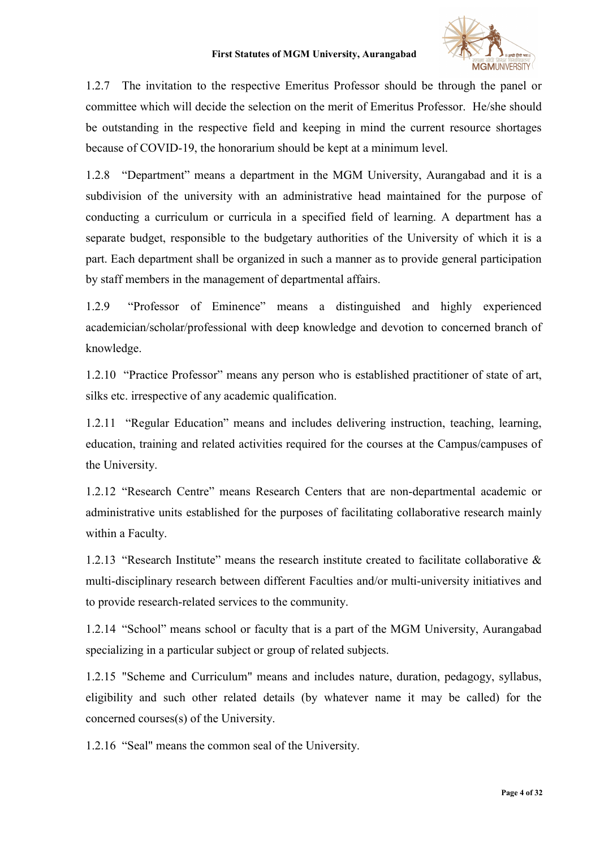#### First Statutes of MGM University, Aurangabad



1.2.7 The invitation to the respective Emeritus Professor should be through the panel or committee which will decide the selection on the merit of Emeritus Professor. He/she should be outstanding in the respective field and keeping in mind the current resource shortages because of COVID-19, the honorarium should be kept at a minimum level.

1.2.8 "Department" means a department in the MGM University, Aurangabad and it is a subdivision of the university with an administrative head maintained for the purpose of conducting a curriculum or curricula in a specified field of learning. A department has a separate budget, responsible to the budgetary authorities of the University of which it is a part. Each department shall be organized in such a manner as to provide general participation by staff members in the management of departmental affairs.

1.2.9 "Professor of Eminence" means a distinguished and highly experienced academician/scholar/professional with deep knowledge and devotion to concerned branch of knowledge.

1.2.10 "Practice Professor" means any person who is established practitioner of state of art, silks etc. irrespective of any academic qualification.

1.2.11 "Regular Education" means and includes delivering instruction, teaching, learning, education, training and related activities required for the courses at the Campus/campuses of the University.

1.2.12 "Research Centre" means Research Centers that are non-departmental academic or administrative units established for the purposes of facilitating collaborative research mainly within a Faculty.

1.2.13 "Research Institute" means the research institute created to facilitate collaborative & multi-disciplinary research between different Faculties and/or multi-university initiatives and to provide research-related services to the community.

1.2.14 "School" means school or faculty that is a part of the MGM University, Aurangabad specializing in a particular subject or group of related subjects.

1.2.15 "Scheme and Curriculum" means and includes nature, duration, pedagogy, syllabus, eligibility and such other related details (by whatever name it may be called) for the concerned courses(s) of the University.

1.2.16 "Seal" means the common seal of the University.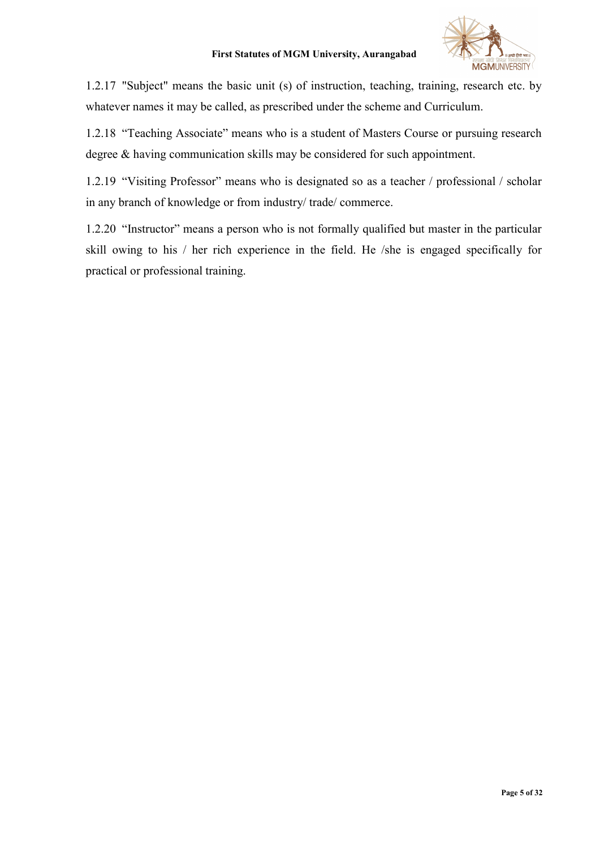

1.2.17 "Subject" means the basic unit (s) of instruction, teaching, training, research etc. by whatever names it may be called, as prescribed under the scheme and Curriculum.

1.2.18 "Teaching Associate" means who is a student of Masters Course or pursuing research degree & having communication skills may be considered for such appointment.

1.2.19 "Visiting Professor" means who is designated so as a teacher / professional / scholar in any branch of knowledge or from industry/ trade/ commerce.

1.2.20 "Instructor" means a person who is not formally qualified but master in the particular skill owing to his / her rich experience in the field. He /she is engaged specifically for practical or professional training.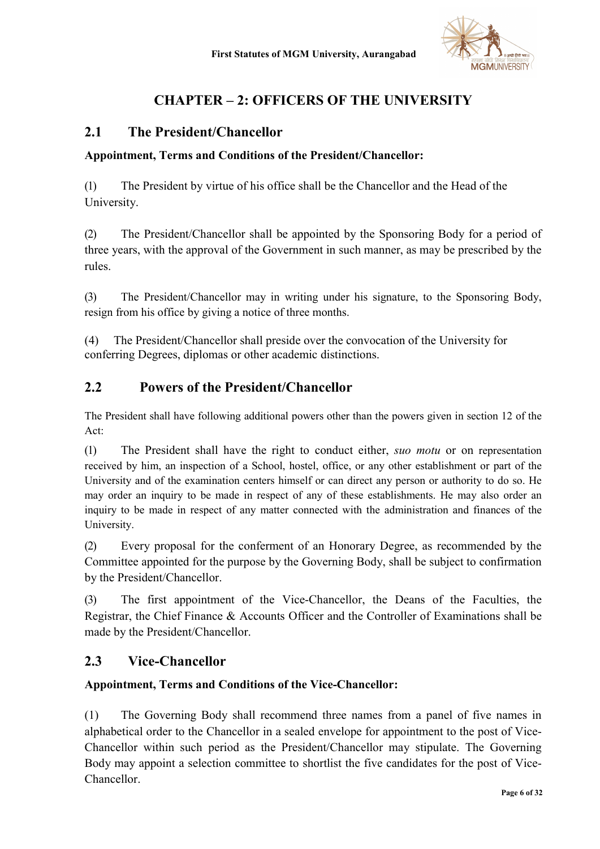

# CHAPTER – 2: OFFICERS OF THE UNIVERSITY

### 2.1 The President/Chancellor

#### Appointment, Terms and Conditions of the President/Chancellor:

(1) The President by virtue of his office shall be the Chancellor and the Head of the University.

(2) The President/Chancellor shall be appointed by the Sponsoring Body for a period of three years, with the approval of the Government in such manner, as may be prescribed by the rules.

(3) The President/Chancellor may in writing under his signature, to the Sponsoring Body, resign from his office by giving a notice of three months.

(4) The President/Chancellor shall preside over the convocation of the University for conferring Degrees, diplomas or other academic distinctions.

## 2.2 Powers of the President/Chancellor

 The President shall have following additional powers other than the powers given in section 12 of the Act:

(1) The President shall have the right to conduct either, suo motu or on representation received by him, an inspection of a School, hostel, office, or any other establishment or part of the University and of the examination centers himself or can direct any person or authority to do so. He may order an inquiry to be made in respect of any of these establishments. He may also order an inquiry to be made in respect of any matter connected with the administration and finances of the University.

(2) Every proposal for the conferment of an Honorary Degree, as recommended by the Committee appointed for the purpose by the Governing Body, shall be subject to confirmation by the President/Chancellor.

(3) The first appointment of the Vice-Chancellor, the Deans of the Faculties, the Registrar, the Chief Finance & Accounts Officer and the Controller of Examinations shall be made by the President/Chancellor.

### 2.3 Vice-Chancellor

#### Appointment, Terms and Conditions of the Vice-Chancellor:

(1) The Governing Body shall recommend three names from a panel of five names in alphabetical order to the Chancellor in a sealed envelope for appointment to the post of Vice-Chancellor within such period as the President/Chancellor may stipulate. The Governing Body may appoint a selection committee to shortlist the five candidates for the post of Vice-Chancellor.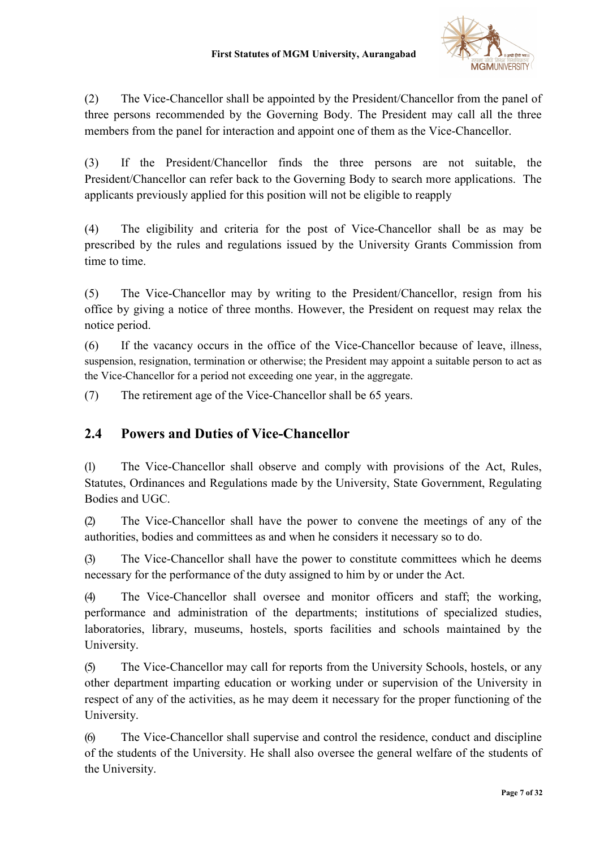

(2) The Vice-Chancellor shall be appointed by the President/Chancellor from the panel of three persons recommended by the Governing Body. The President may call all the three members from the panel for interaction and appoint one of them as the Vice-Chancellor.

(3) If the President/Chancellor finds the three persons are not suitable, the President/Chancellor can refer back to the Governing Body to search more applications. The applicants previously applied for this position will not be eligible to reapply

(4) The eligibility and criteria for the post of Vice-Chancellor shall be as may be prescribed by the rules and regulations issued by the University Grants Commission from time to time.

(5) The Vice-Chancellor may by writing to the President/Chancellor, resign from his office by giving a notice of three months. However, the President on request may relax the notice period.

(6) If the vacancy occurs in the office of the Vice-Chancellor because of leave, illness, suspension, resignation, termination or otherwise; the President may appoint a suitable person to act as the Vice-Chancellor for a period not exceeding one year, in the aggregate.

(7) The retirement age of the Vice-Chancellor shall be 65 years.

# 2.4 Powers and Duties of Vice-Chancellor

(1) The Vice-Chancellor shall observe and comply with provisions of the Act, Rules, Statutes, Ordinances and Regulations made by the University, State Government, Regulating Bodies and UGC.

(2) The Vice-Chancellor shall have the power to convene the meetings of any of the authorities, bodies and committees as and when he considers it necessary so to do.

(3) The Vice-Chancellor shall have the power to constitute committees which he deems necessary for the performance of the duty assigned to him by or under the Act.

(4) The Vice-Chancellor shall oversee and monitor officers and staff; the working, performance and administration of the departments; institutions of specialized studies, laboratories, library, museums, hostels, sports facilities and schools maintained by the University.

(5) The Vice-Chancellor may call for reports from the University Schools, hostels, or any other department imparting education or working under or supervision of the University in respect of any of the activities, as he may deem it necessary for the proper functioning of the University.

(6) The Vice-Chancellor shall supervise and control the residence, conduct and discipline of the students of the University. He shall also oversee the general welfare of the students of the University.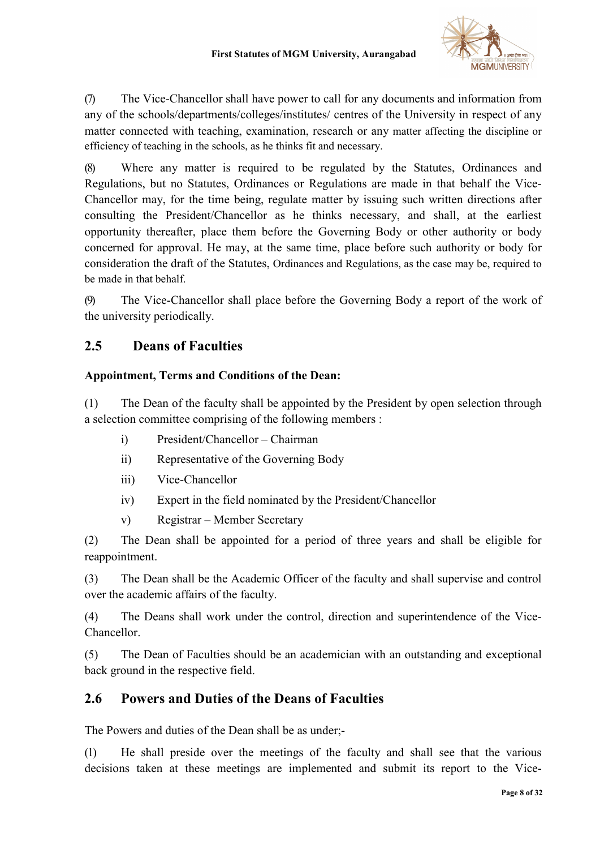

(7) The Vice-Chancellor shall have power to call for any documents and information from any of the schools/departments/colleges/institutes/ centres of the University in respect of any matter connected with teaching, examination, research or any matter affecting the discipline or efficiency of teaching in the schools, as he thinks fit and necessary.

(8) Where any matter is required to be regulated by the Statutes, Ordinances and Regulations, but no Statutes, Ordinances or Regulations are made in that behalf the Vice-Chancellor may, for the time being, regulate matter by issuing such written directions after consulting the President/Chancellor as he thinks necessary, and shall, at the earliest opportunity thereafter, place them before the Governing Body or other authority or body concerned for approval. He may, at the same time, place before such authority or body for consideration the draft of the Statutes, Ordinances and Regulations, as the case may be, required to be made in that behalf.

(9) The Vice-Chancellor shall place before the Governing Body a report of the work of the university periodically.

# 2.5 Deans of Faculties

#### Appointment, Terms and Conditions of the Dean:

(1) The Dean of the faculty shall be appointed by the President by open selection through a selection committee comprising of the following members :

- i) President/Chancellor Chairman
- ii) Representative of the Governing Body
- iii) Vice-Chancellor
- iv) Expert in the field nominated by the President/Chancellor
- v) Registrar Member Secretary

(2) The Dean shall be appointed for a period of three years and shall be eligible for reappointment.

(3) The Dean shall be the Academic Officer of the faculty and shall supervise and control over the academic affairs of the faculty.

(4) The Deans shall work under the control, direction and superintendence of the Vice-Chancellor.

(5) The Dean of Faculties should be an academician with an outstanding and exceptional back ground in the respective field.

### 2.6 Powers and Duties of the Deans of Faculties

The Powers and duties of the Dean shall be as under;-

(1) He shall preside over the meetings of the faculty and shall see that the various decisions taken at these meetings are implemented and submit its report to the Vice-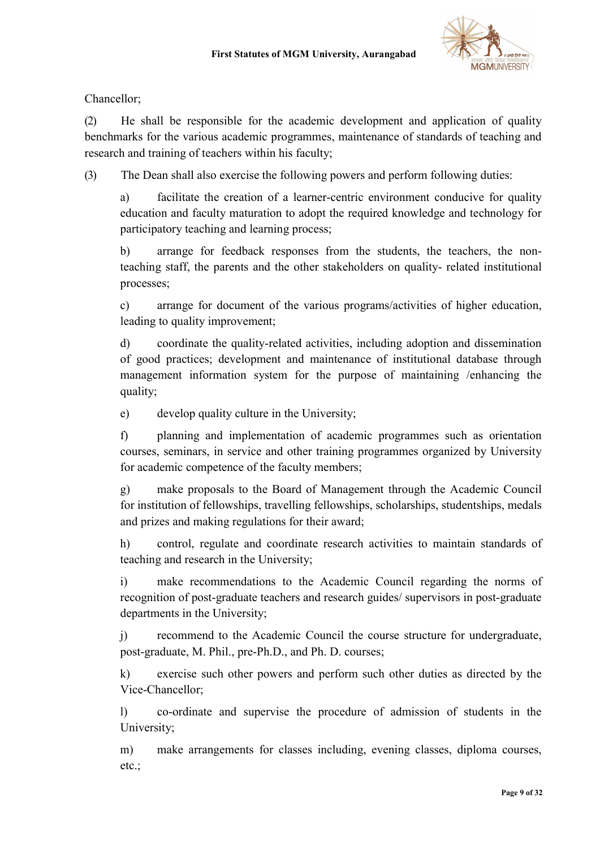

Chancellor;

(2) He shall be responsible for the academic development and application of quality benchmarks for the various academic programmes, maintenance of standards of teaching and research and training of teachers within his faculty;

(3) The Dean shall also exercise the following powers and perform following duties:

a) facilitate the creation of a learner-centric environment conducive for quality education and faculty maturation to adopt the required knowledge and technology for participatory teaching and learning process;

b) arrange for feedback responses from the students, the teachers, the nonteaching staff, the parents and the other stakeholders on quality- related institutional processes;

c) arrange for document of the various programs/activities of higher education, leading to quality improvement;

d) coordinate the quality-related activities, including adoption and dissemination of good practices; development and maintenance of institutional database through management information system for the purpose of maintaining /enhancing the quality;

e) develop quality culture in the University;

f) planning and implementation of academic programmes such as orientation courses, seminars, in service and other training programmes organized by University for academic competence of the faculty members;

g) make proposals to the Board of Management through the Academic Council for institution of fellowships, travelling fellowships, scholarships, studentships, medals and prizes and making regulations for their award;

h) control, regulate and coordinate research activities to maintain standards of teaching and research in the University;

i) make recommendations to the Academic Council regarding the norms of recognition of post-graduate teachers and research guides/ supervisors in post-graduate departments in the University;

j) recommend to the Academic Council the course structure for undergraduate, post-graduate, M. Phil., pre-Ph.D., and Ph. D. courses;

k) exercise such other powers and perform such other duties as directed by the Vice-Chancellor;

l) co-ordinate and supervise the procedure of admission of students in the University;

m) make arrangements for classes including, evening classes, diploma courses, etc.;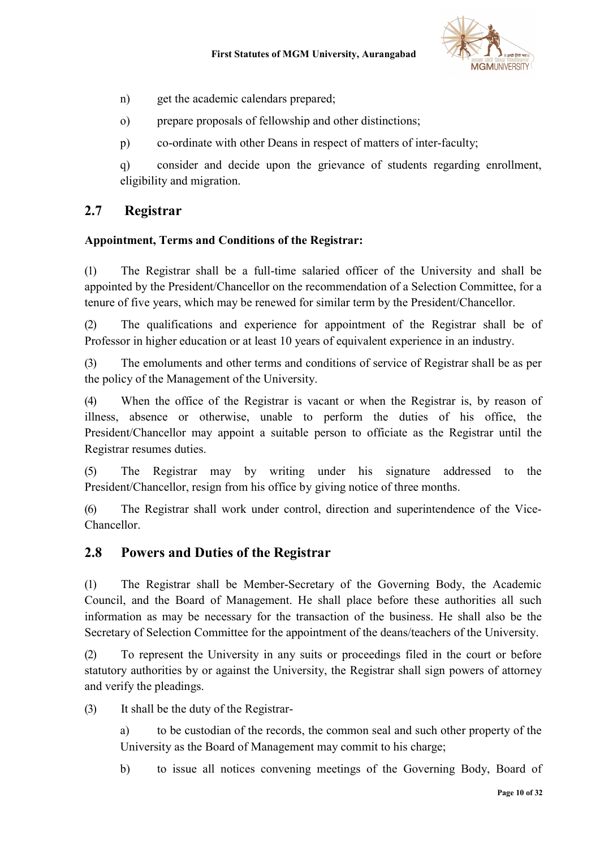

- n) get the academic calendars prepared;
- o) prepare proposals of fellowship and other distinctions;
- p) co-ordinate with other Deans in respect of matters of inter-faculty;

q) consider and decide upon the grievance of students regarding enrollment, eligibility and migration.

### 2.7 Registrar

#### Appointment, Terms and Conditions of the Registrar:

(1) The Registrar shall be a full-time salaried officer of the University and shall be appointed by the President/Chancellor on the recommendation of a Selection Committee, for a tenure of five years, which may be renewed for similar term by the President/Chancellor.

(2) The qualifications and experience for appointment of the Registrar shall be of Professor in higher education or at least 10 years of equivalent experience in an industry.

(3) The emoluments and other terms and conditions of service of Registrar shall be as per the policy of the Management of the University.

(4) When the office of the Registrar is vacant or when the Registrar is, by reason of illness, absence or otherwise, unable to perform the duties of his office, the President/Chancellor may appoint a suitable person to officiate as the Registrar until the Registrar resumes duties.

(5) The Registrar may by writing under his signature addressed to the President/Chancellor, resign from his office by giving notice of three months.

(6) The Registrar shall work under control, direction and superintendence of the Vice-Chancellor.

### 2.8 Powers and Duties of the Registrar

(1) The Registrar shall be Member-Secretary of the Governing Body, the Academic Council, and the Board of Management. He shall place before these authorities all such information as may be necessary for the transaction of the business. He shall also be the Secretary of Selection Committee for the appointment of the deans/teachers of the University.

(2) To represent the University in any suits or proceedings filed in the court or before statutory authorities by or against the University, the Registrar shall sign powers of attorney and verify the pleadings.

(3) It shall be the duty of the Registrar-

- a) to be custodian of the records, the common seal and such other property of the University as the Board of Management may commit to his charge;
- b) to issue all notices convening meetings of the Governing Body, Board of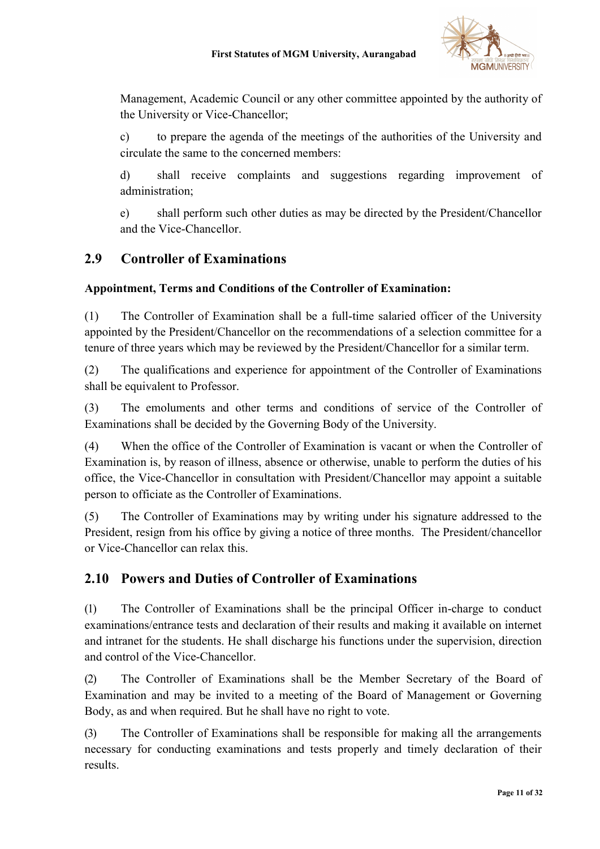

Management, Academic Council or any other committee appointed by the authority of the University or Vice-Chancellor;

c) to prepare the agenda of the meetings of the authorities of the University and circulate the same to the concerned members:

d) shall receive complaints and suggestions regarding improvement of administration;

e) shall perform such other duties as may be directed by the President/Chancellor and the Vice-Chancellor.

## 2.9 Controller of Examinations

#### Appointment, Terms and Conditions of the Controller of Examination:

(1) The Controller of Examination shall be a full-time salaried officer of the University appointed by the President/Chancellor on the recommendations of a selection committee for a tenure of three years which may be reviewed by the President/Chancellor for a similar term.

(2) The qualifications and experience for appointment of the Controller of Examinations shall be equivalent to Professor.

(3) The emoluments and other terms and conditions of service of the Controller of Examinations shall be decided by the Governing Body of the University.

(4) When the office of the Controller of Examination is vacant or when the Controller of Examination is, by reason of illness, absence or otherwise, unable to perform the duties of his office, the Vice-Chancellor in consultation with President/Chancellor may appoint a suitable person to officiate as the Controller of Examinations.

(5) The Controller of Examinations may by writing under his signature addressed to the President, resign from his office by giving a notice of three months. The President/chancellor or Vice-Chancellor can relax this.

### 2.10 Powers and Duties of Controller of Examinations

(1) The Controller of Examinations shall be the principal Officer in-charge to conduct examinations/entrance tests and declaration of their results and making it available on internet and intranet for the students. He shall discharge his functions under the supervision, direction and control of the Vice-Chancellor.

(2) The Controller of Examinations shall be the Member Secretary of the Board of Examination and may be invited to a meeting of the Board of Management or Governing Body, as and when required. But he shall have no right to vote.

(3) The Controller of Examinations shall be responsible for making all the arrangements necessary for conducting examinations and tests properly and timely declaration of their results.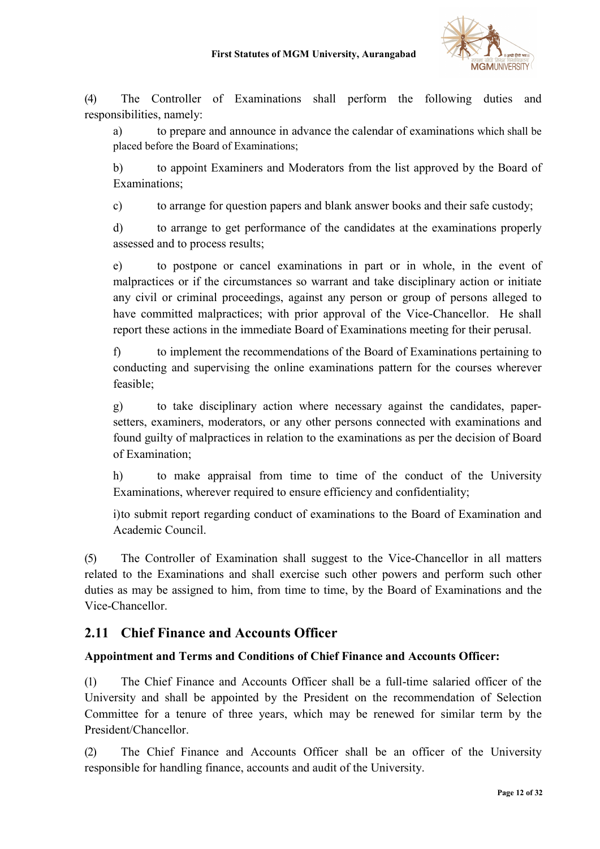

(4) The Controller of Examinations shall perform the following duties and responsibilities, namely:

a) to prepare and announce in advance the calendar of examinations which shall be placed before the Board of Examinations;

b) to appoint Examiners and Moderators from the list approved by the Board of Examinations;

c) to arrange for question papers and blank answer books and their safe custody;

d) to arrange to get performance of the candidates at the examinations properly assessed and to process results;

e) to postpone or cancel examinations in part or in whole, in the event of malpractices or if the circumstances so warrant and take disciplinary action or initiate any civil or criminal proceedings, against any person or group of persons alleged to have committed malpractices; with prior approval of the Vice-Chancellor. He shall report these actions in the immediate Board of Examinations meeting for their perusal.

f) to implement the recommendations of the Board of Examinations pertaining to conducting and supervising the online examinations pattern for the courses wherever feasible;

g) to take disciplinary action where necessary against the candidates, papersetters, examiners, moderators, or any other persons connected with examinations and found guilty of malpractices in relation to the examinations as per the decision of Board of Examination;

h) to make appraisal from time to time of the conduct of the University Examinations, wherever required to ensure efficiency and confidentiality;

i)to submit report regarding conduct of examinations to the Board of Examination and Academic Council.

(5) The Controller of Examination shall suggest to the Vice-Chancellor in all matters related to the Examinations and shall exercise such other powers and perform such other duties as may be assigned to him, from time to time, by the Board of Examinations and the Vice-Chancellor.

# 2.11 Chief Finance and Accounts Officer

### Appointment and Terms and Conditions of Chief Finance and Accounts Officer:

(1) The Chief Finance and Accounts Officer shall be a full-time salaried officer of the University and shall be appointed by the President on the recommendation of Selection Committee for a tenure of three years, which may be renewed for similar term by the President/Chancellor.

(2) The Chief Finance and Accounts Officer shall be an officer of the University responsible for handling finance, accounts and audit of the University.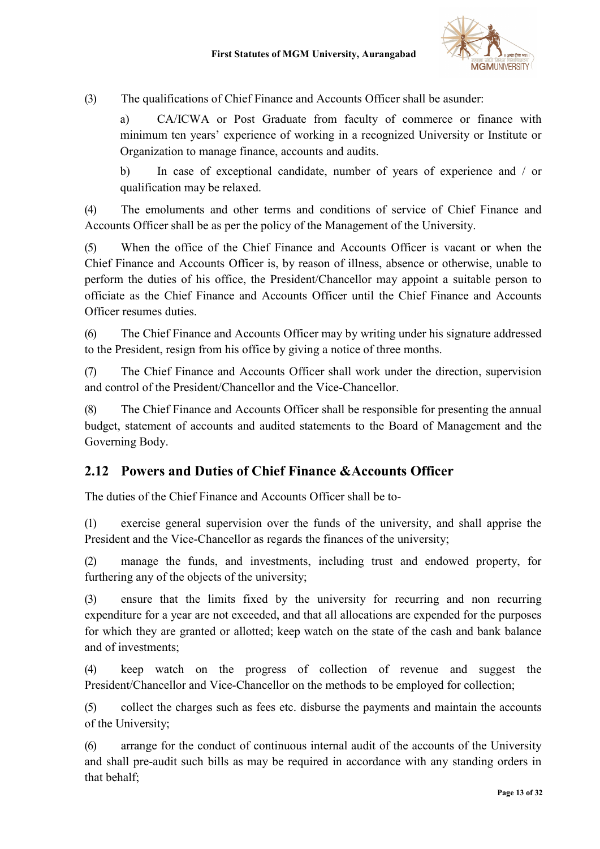

(3) The qualifications of Chief Finance and Accounts Officer shall be asunder:

a) CA/ICWA or Post Graduate from faculty of commerce or finance with minimum ten years' experience of working in a recognized University or Institute or Organization to manage finance, accounts and audits.

b) In case of exceptional candidate, number of years of experience and / or qualification may be relaxed.

(4) The emoluments and other terms and conditions of service of Chief Finance and Accounts Officer shall be as per the policy of the Management of the University.

(5) When the office of the Chief Finance and Accounts Officer is vacant or when the Chief Finance and Accounts Officer is, by reason of illness, absence or otherwise, unable to perform the duties of his office, the President/Chancellor may appoint a suitable person to officiate as the Chief Finance and Accounts Officer until the Chief Finance and Accounts Officer resumes duties.

(6) The Chief Finance and Accounts Officer may by writing under his signature addressed to the President, resign from his office by giving a notice of three months.

(7) The Chief Finance and Accounts Officer shall work under the direction, supervision and control of the President/Chancellor and the Vice-Chancellor.

(8) The Chief Finance and Accounts Officer shall be responsible for presenting the annual budget, statement of accounts and audited statements to the Board of Management and the Governing Body.

# 2.12 Powers and Duties of Chief Finance &Accounts Officer

The duties of the Chief Finance and Accounts Officer shall be to-

(1) exercise general supervision over the funds of the university, and shall apprise the President and the Vice-Chancellor as regards the finances of the university;

(2) manage the funds, and investments, including trust and endowed property, for furthering any of the objects of the university;

(3) ensure that the limits fixed by the university for recurring and non recurring expenditure for a year are not exceeded, and that all allocations are expended for the purposes for which they are granted or allotted; keep watch on the state of the cash and bank balance and of investments;

(4) keep watch on the progress of collection of revenue and suggest the President/Chancellor and Vice-Chancellor on the methods to be employed for collection;

(5) collect the charges such as fees etc. disburse the payments and maintain the accounts of the University;

(6) arrange for the conduct of continuous internal audit of the accounts of the University and shall pre-audit such bills as may be required in accordance with any standing orders in that behalf;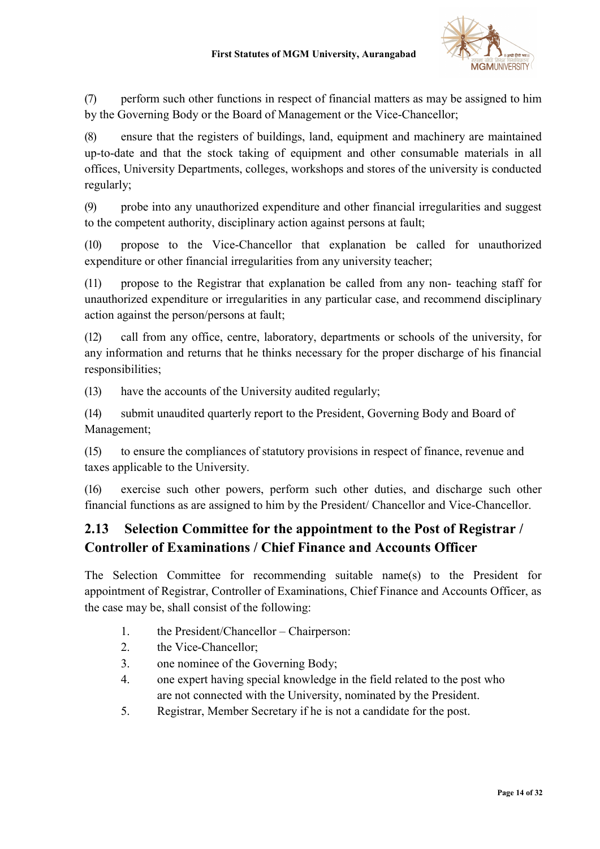

(7) perform such other functions in respect of financial matters as may be assigned to him by the Governing Body or the Board of Management or the Vice-Chancellor;

(8) ensure that the registers of buildings, land, equipment and machinery are maintained up-to-date and that the stock taking of equipment and other consumable materials in all offices, University Departments, colleges, workshops and stores of the university is conducted regularly;

(9) probe into any unauthorized expenditure and other financial irregularities and suggest to the competent authority, disciplinary action against persons at fault;

(10) propose to the Vice-Chancellor that explanation be called for unauthorized expenditure or other financial irregularities from any university teacher;

(11) propose to the Registrar that explanation be called from any non- teaching staff for unauthorized expenditure or irregularities in any particular case, and recommend disciplinary action against the person/persons at fault;

(12) call from any office, centre, laboratory, departments or schools of the university, for any information and returns that he thinks necessary for the proper discharge of his financial responsibilities;

(13) have the accounts of the University audited regularly;

(14) submit unaudited quarterly report to the President, Governing Body and Board of Management;

(15) to ensure the compliances of statutory provisions in respect of finance, revenue and taxes applicable to the University.

(16) exercise such other powers, perform such other duties, and discharge such other financial functions as are assigned to him by the President/ Chancellor and Vice-Chancellor.

# 2.13 Selection Committee for the appointment to the Post of Registrar / Controller of Examinations / Chief Finance and Accounts Officer

The Selection Committee for recommending suitable name(s) to the President for appointment of Registrar, Controller of Examinations, Chief Finance and Accounts Officer, as the case may be, shall consist of the following:

- 1. the President/Chancellor Chairperson:
- 2. the Vice-Chancellor;
- 3. one nominee of the Governing Body;
- 4. one expert having special knowledge in the field related to the post who are not connected with the University, nominated by the President.
- 5. Registrar, Member Secretary if he is not a candidate for the post.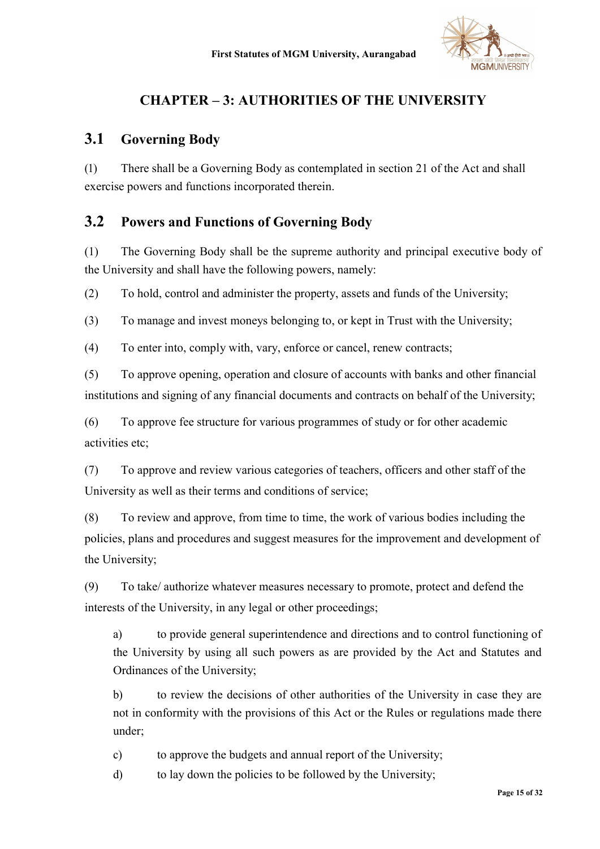

# CHAPTER – 3: AUTHORITIES OF THE UNIVERSITY

## 3.1 Governing Body

(1) There shall be a Governing Body as contemplated in section 21 of the Act and shall exercise powers and functions incorporated therein.

## 3.2 Powers and Functions of Governing Body

(1) The Governing Body shall be the supreme authority and principal executive body of the University and shall have the following powers, namely:

(2) To hold, control and administer the property, assets and funds of the University;

(3) To manage and invest moneys belonging to, or kept in Trust with the University;

(4) To enter into, comply with, vary, enforce or cancel, renew contracts;

(5) To approve opening, operation and closure of accounts with banks and other financial institutions and signing of any financial documents and contracts on behalf of the University;

(6) To approve fee structure for various programmes of study or for other academic activities etc;

(7) To approve and review various categories of teachers, officers and other staff of the University as well as their terms and conditions of service;

(8) To review and approve, from time to time, the work of various bodies including the policies, plans and procedures and suggest measures for the improvement and development of the University;

(9) To take/ authorize whatever measures necessary to promote, protect and defend the interests of the University, in any legal or other proceedings;

a) to provide general superintendence and directions and to control functioning of the University by using all such powers as are provided by the Act and Statutes and Ordinances of the University;

b) to review the decisions of other authorities of the University in case they are not in conformity with the provisions of this Act or the Rules or regulations made there under;

c) to approve the budgets and annual report of the University;

d) to lay down the policies to be followed by the University;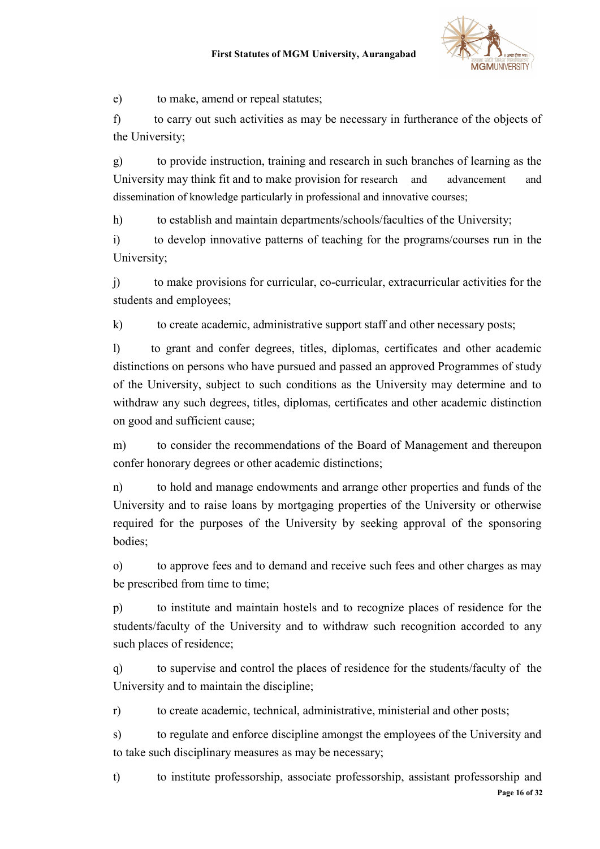

e) to make, amend or repeal statutes;

f) to carry out such activities as may be necessary in furtherance of the objects of the University;

g) to provide instruction, training and research in such branches of learning as the University may think fit and to make provision for research and advancement and dissemination of knowledge particularly in professional and innovative courses;

h) to establish and maintain departments/schools/faculties of the University;

i) to develop innovative patterns of teaching for the programs/courses run in the University;

j) to make provisions for curricular, co-curricular, extracurricular activities for the students and employees;

k) to create academic, administrative support staff and other necessary posts;

l) to grant and confer degrees, titles, diplomas, certificates and other academic distinctions on persons who have pursued and passed an approved Programmes of study of the University, subject to such conditions as the University may determine and to withdraw any such degrees, titles, diplomas, certificates and other academic distinction on good and sufficient cause;

m) to consider the recommendations of the Board of Management and thereupon confer honorary degrees or other academic distinctions;

n) to hold and manage endowments and arrange other properties and funds of the University and to raise loans by mortgaging properties of the University or otherwise required for the purposes of the University by seeking approval of the sponsoring bodies;

o) to approve fees and to demand and receive such fees and other charges as may be prescribed from time to time;

p) to institute and maintain hostels and to recognize places of residence for the students/faculty of the University and to withdraw such recognition accorded to any such places of residence;

q) to supervise and control the places of residence for the students/faculty of the University and to maintain the discipline;

r) to create academic, technical, administrative, ministerial and other posts;

s) to regulate and enforce discipline amongst the employees of the University and to take such disciplinary measures as may be necessary;

Page 16 of 32 t) to institute professorship, associate professorship, assistant professorship and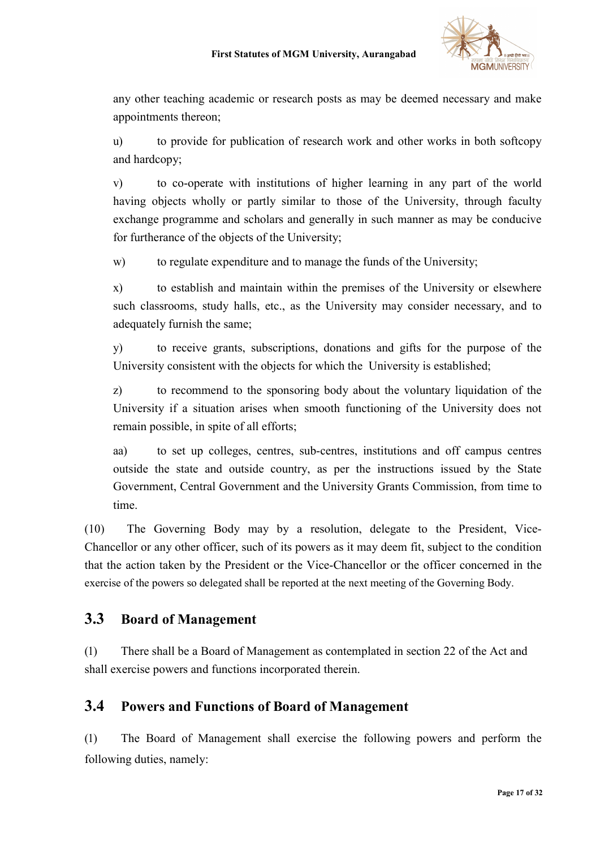

any other teaching academic or research posts as may be deemed necessary and make appointments thereon;

u) to provide for publication of research work and other works in both softcopy and hardcopy;

v) to co-operate with institutions of higher learning in any part of the world having objects wholly or partly similar to those of the University, through faculty exchange programme and scholars and generally in such manner as may be conducive for furtherance of the objects of the University;

w) to regulate expenditure and to manage the funds of the University;

x) to establish and maintain within the premises of the University or elsewhere such classrooms, study halls, etc., as the University may consider necessary, and to adequately furnish the same;

y) to receive grants, subscriptions, donations and gifts for the purpose of the University consistent with the objects for which the University is established;

z) to recommend to the sponsoring body about the voluntary liquidation of the University if a situation arises when smooth functioning of the University does not remain possible, in spite of all efforts;

aa) to set up colleges, centres, sub-centres, institutions and off campus centres outside the state and outside country, as per the instructions issued by the State Government, Central Government and the University Grants Commission, from time to time.

(10) The Governing Body may by a resolution, delegate to the President, Vice-Chancellor or any other officer, such of its powers as it may deem fit, subject to the condition that the action taken by the President or the Vice-Chancellor or the officer concerned in the exercise of the powers so delegated shall be reported at the next meeting of the Governing Body.

# 3.3 Board of Management

(1) There shall be a Board of Management as contemplated in section 22 of the Act and shall exercise powers and functions incorporated therein.

# 3.4 Powers and Functions of Board of Management

(1) The Board of Management shall exercise the following powers and perform the following duties, namely: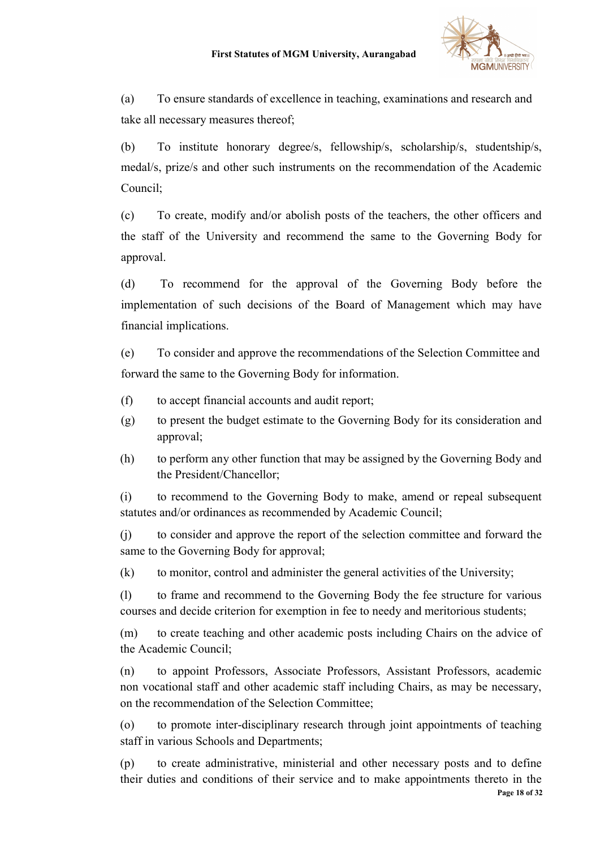

(a) To ensure standards of excellence in teaching, examinations and research and take all necessary measures thereof;

(b) To institute honorary degree/s, fellowship/s, scholarship/s, studentship/s, medal/s, prize/s and other such instruments on the recommendation of the Academic Council;

(c) To create, modify and/or abolish posts of the teachers, the other officers and the staff of the University and recommend the same to the Governing Body for approval.

(d) To recommend for the approval of the Governing Body before the implementation of such decisions of the Board of Management which may have financial implications.

(e) To consider and approve the recommendations of the Selection Committee and forward the same to the Governing Body for information.

- (f) to accept financial accounts and audit report;
- (g) to present the budget estimate to the Governing Body for its consideration and approval;
- (h) to perform any other function that may be assigned by the Governing Body and the President/Chancellor;

(i) to recommend to the Governing Body to make, amend or repeal subsequent statutes and/or ordinances as recommended by Academic Council;

(j) to consider and approve the report of the selection committee and forward the same to the Governing Body for approval;

(k) to monitor, control and administer the general activities of the University;

(l) to frame and recommend to the Governing Body the fee structure for various courses and decide criterion for exemption in fee to needy and meritorious students;

(m) to create teaching and other academic posts including Chairs on the advice of the Academic Council;

(n) to appoint Professors, Associate Professors, Assistant Professors, academic non vocational staff and other academic staff including Chairs, as may be necessary, on the recommendation of the Selection Committee;

(o) to promote inter-disciplinary research through joint appointments of teaching staff in various Schools and Departments;

Page 18 of 32 (p) to create administrative, ministerial and other necessary posts and to define their duties and conditions of their service and to make appointments thereto in the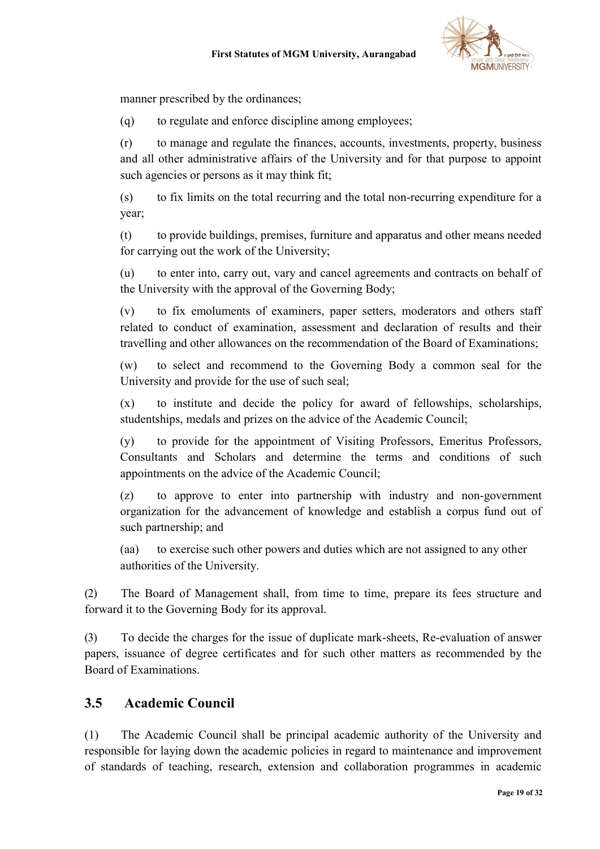

manner prescribed by the ordinances;

(q) to regulate and enforce discipline among employees;

(r) to manage and regulate the finances, accounts, investments, property, business and all other administrative affairs of the University and for that purpose to appoint such agencies or persons as it may think fit;

(s) to fix limits on the total recurring and the total non-recurring expenditure for a year;

(t) to provide buildings, premises, furniture and apparatus and other means needed for carrying out the work of the University;

(u) to enter into, carry out, vary and cancel agreements and contracts on behalf of the University with the approval of the Governing Body;

(v) to fix emoluments of examiners, paper setters, moderators and others staff related to conduct of examination, assessment and declaration of results and their travelling and other allowances on the recommendation of the Board of Examinations;

(w) to select and recommend to the Governing Body a common seal for the University and provide for the use of such seal;

(x) to institute and decide the policy for award of fellowships, scholarships, studentships, medals and prizes on the advice of the Academic Council;

(y) to provide for the appointment of Visiting Professors, Emeritus Professors, Consultants and Scholars and determine the terms and conditions of such appointments on the advice of the Academic Council;

(z) to approve to enter into partnership with industry and non-government organization for the advancement of knowledge and establish a corpus fund out of such partnership; and

(aa) to exercise such other powers and duties which are not assigned to any other authorities of the University.

(2) The Board of Management shall, from time to time, prepare its fees structure and forward it to the Governing Body for its approval.

(3) To decide the charges for the issue of duplicate mark-sheets, Re-evaluation of answer papers, issuance of degree certificates and for such other matters as recommended by the Board of Examinations.

# 3.5 Academic Council

(1) The Academic Council shall be principal academic authority of the University and responsible for laying down the academic policies in regard to maintenance and improvement of standards of teaching, research, extension and collaboration programmes in academic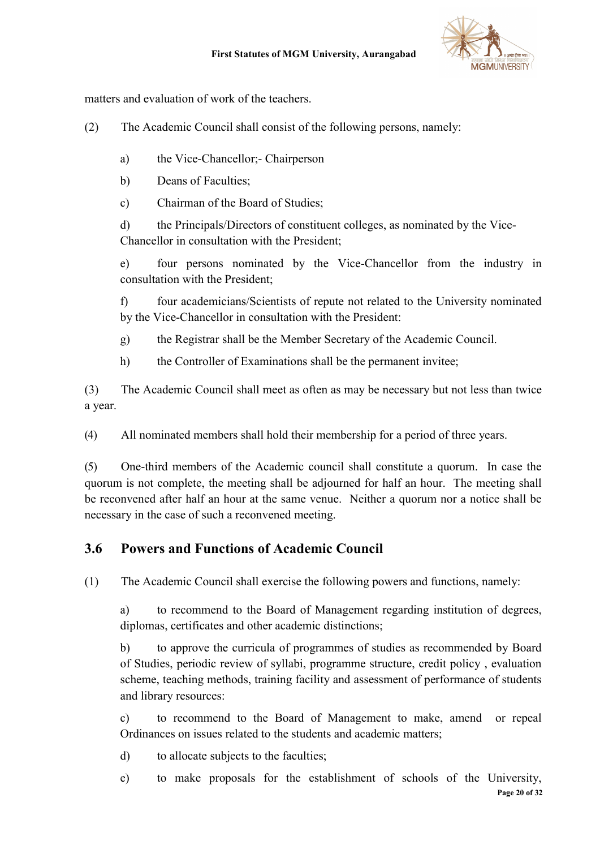



matters and evaluation of work of the teachers.

- (2) The Academic Council shall consist of the following persons, namely:
	- a) the Vice-Chancellor;- Chairperson
	- b) Deans of Faculties;
	- c) Chairman of the Board of Studies;

d) the Principals/Directors of constituent colleges, as nominated by the Vice-Chancellor in consultation with the President;

e) four persons nominated by the Vice-Chancellor from the industry in consultation with the President;

f) four academicians/Scientists of repute not related to the University nominated by the Vice-Chancellor in consultation with the President:

- g) the Registrar shall be the Member Secretary of the Academic Council.
- h) the Controller of Examinations shall be the permanent invitee;

(3) The Academic Council shall meet as often as may be necessary but not less than twice a year.

(4) All nominated members shall hold their membership for a period of three years.

(5) One-third members of the Academic council shall constitute a quorum. In case the quorum is not complete, the meeting shall be adjourned for half an hour. The meeting shall be reconvened after half an hour at the same venue. Neither a quorum nor a notice shall be necessary in the case of such a reconvened meeting.

# 3.6 Powers and Functions of Academic Council

(1) The Academic Council shall exercise the following powers and functions, namely:

a) to recommend to the Board of Management regarding institution of degrees, diplomas, certificates and other academic distinctions;

b) to approve the curricula of programmes of studies as recommended by Board of Studies, periodic review of syllabi, programme structure, credit policy , evaluation scheme, teaching methods, training facility and assessment of performance of students and library resources:

c) to recommend to the Board of Management to make, amend or repeal Ordinances on issues related to the students and academic matters;

d) to allocate subjects to the faculties;

Page 20 of 32 e) to make proposals for the establishment of schools of the University,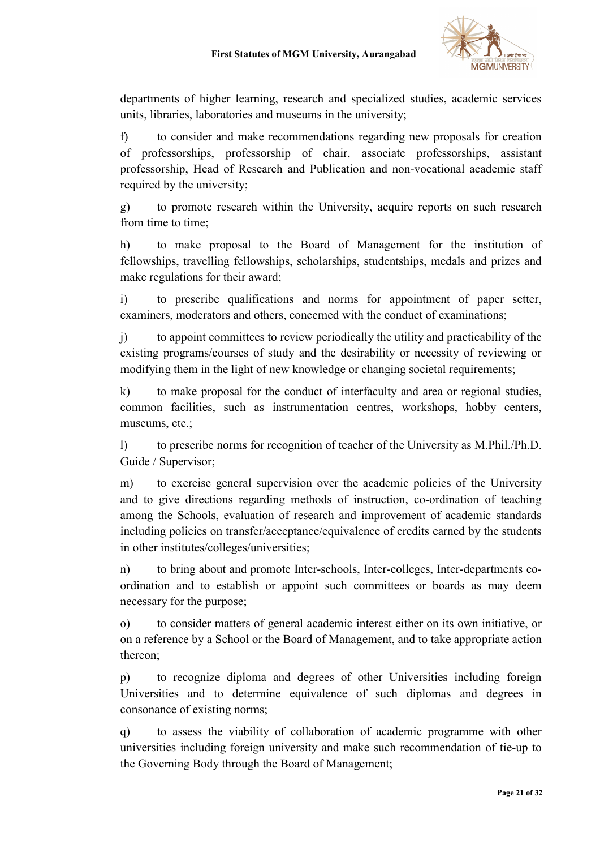

departments of higher learning, research and specialized studies, academic services units, libraries, laboratories and museums in the university;

f) to consider and make recommendations regarding new proposals for creation of professorships, professorship of chair, associate professorships, assistant professorship, Head of Research and Publication and non-vocational academic staff required by the university;

g) to promote research within the University, acquire reports on such research from time to time;

h) to make proposal to the Board of Management for the institution of fellowships, travelling fellowships, scholarships, studentships, medals and prizes and make regulations for their award;

i) to prescribe qualifications and norms for appointment of paper setter, examiners, moderators and others, concerned with the conduct of examinations;

j) to appoint committees to review periodically the utility and practicability of the existing programs/courses of study and the desirability or necessity of reviewing or modifying them in the light of new knowledge or changing societal requirements;

k) to make proposal for the conduct of interfaculty and area or regional studies, common facilities, such as instrumentation centres, workshops, hobby centers, museums, etc.;

l) to prescribe norms for recognition of teacher of the University as M.Phil./Ph.D. Guide / Supervisor;

m) to exercise general supervision over the academic policies of the University and to give directions regarding methods of instruction, co-ordination of teaching among the Schools, evaluation of research and improvement of academic standards including policies on transfer/acceptance/equivalence of credits earned by the students in other institutes/colleges/universities;

n) to bring about and promote Inter-schools, Inter-colleges, Inter-departments coordination and to establish or appoint such committees or boards as may deem necessary for the purpose;

o) to consider matters of general academic interest either on its own initiative, or on a reference by a School or the Board of Management, and to take appropriate action thereon;

p) to recognize diploma and degrees of other Universities including foreign Universities and to determine equivalence of such diplomas and degrees in consonance of existing norms;

q) to assess the viability of collaboration of academic programme with other universities including foreign university and make such recommendation of tie-up to the Governing Body through the Board of Management;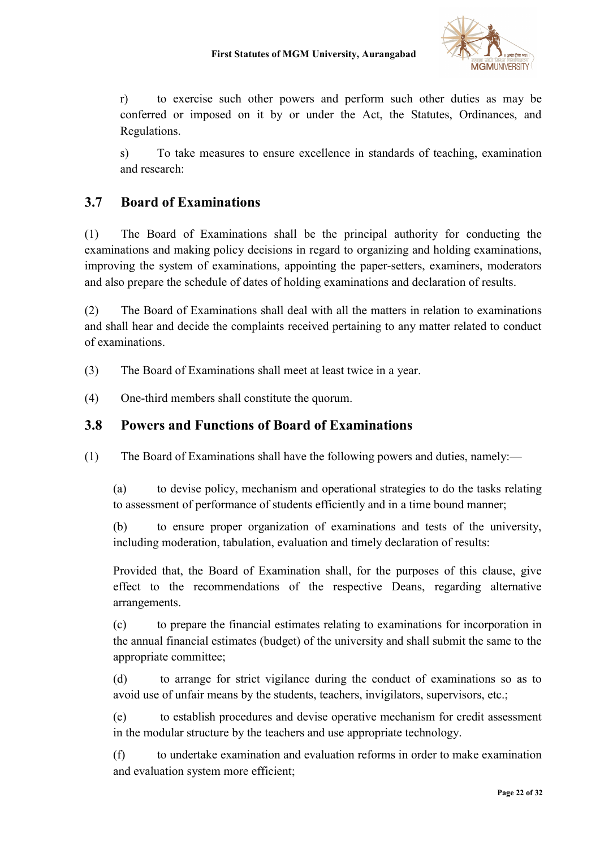

r) to exercise such other powers and perform such other duties as may be conferred or imposed on it by or under the Act, the Statutes, Ordinances, and Regulations.

s) To take measures to ensure excellence in standards of teaching, examination and research:

# 3.7 Board of Examinations

(1) The Board of Examinations shall be the principal authority for conducting the examinations and making policy decisions in regard to organizing and holding examinations, improving the system of examinations, appointing the paper-setters, examiners, moderators and also prepare the schedule of dates of holding examinations and declaration of results.

(2) The Board of Examinations shall deal with all the matters in relation to examinations and shall hear and decide the complaints received pertaining to any matter related to conduct of examinations.

- (3) The Board of Examinations shall meet at least twice in a year.
- (4) One-third members shall constitute the quorum.

### 3.8 Powers and Functions of Board of Examinations

(1) The Board of Examinations shall have the following powers and duties, namely:—

(a) to devise policy, mechanism and operational strategies to do the tasks relating to assessment of performance of students efficiently and in a time bound manner;

(b) to ensure proper organization of examinations and tests of the university, including moderation, tabulation, evaluation and timely declaration of results:

Provided that, the Board of Examination shall, for the purposes of this clause, give effect to the recommendations of the respective Deans, regarding alternative arrangements.

(c) to prepare the financial estimates relating to examinations for incorporation in the annual financial estimates (budget) of the university and shall submit the same to the appropriate committee;

(d) to arrange for strict vigilance during the conduct of examinations so as to avoid use of unfair means by the students, teachers, invigilators, supervisors, etc.;

(e) to establish procedures and devise operative mechanism for credit assessment in the modular structure by the teachers and use appropriate technology.

(f) to undertake examination and evaluation reforms in order to make examination and evaluation system more efficient;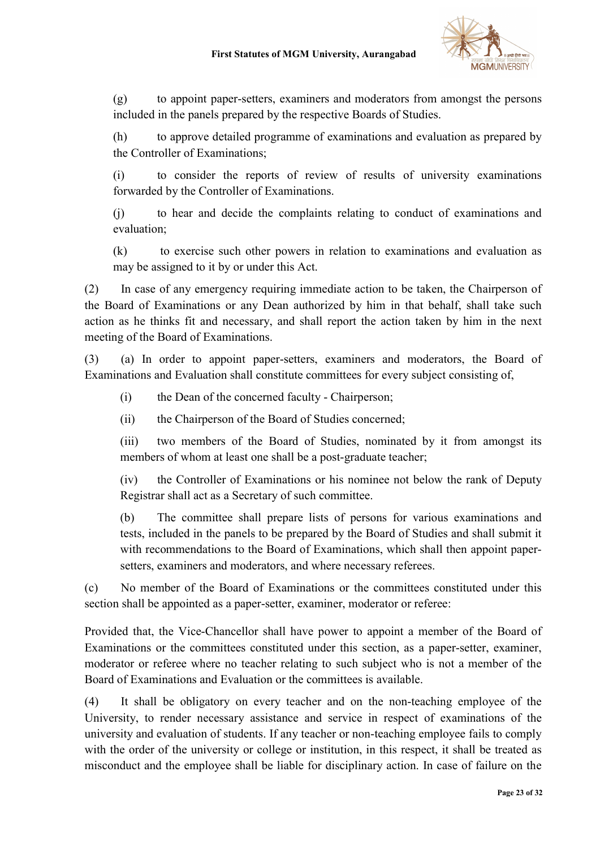

(g) to appoint paper-setters, examiners and moderators from amongst the persons included in the panels prepared by the respective Boards of Studies.

(h) to approve detailed programme of examinations and evaluation as prepared by the Controller of Examinations;

(i) to consider the reports of review of results of university examinations forwarded by the Controller of Examinations.

(j) to hear and decide the complaints relating to conduct of examinations and evaluation;

(k) to exercise such other powers in relation to examinations and evaluation as may be assigned to it by or under this Act.

(2) In case of any emergency requiring immediate action to be taken, the Chairperson of the Board of Examinations or any Dean authorized by him in that behalf, shall take such action as he thinks fit and necessary, and shall report the action taken by him in the next meeting of the Board of Examinations.

(3) (a) In order to appoint paper-setters, examiners and moderators, the Board of Examinations and Evaluation shall constitute committees for every subject consisting of,

- (i) the Dean of the concerned faculty Chairperson;
- (ii) the Chairperson of the Board of Studies concerned;

(iii) two members of the Board of Studies, nominated by it from amongst its members of whom at least one shall be a post-graduate teacher;

(iv) the Controller of Examinations or his nominee not below the rank of Deputy Registrar shall act as a Secretary of such committee.

(b) The committee shall prepare lists of persons for various examinations and tests, included in the panels to be prepared by the Board of Studies and shall submit it with recommendations to the Board of Examinations, which shall then appoint papersetters, examiners and moderators, and where necessary referees.

(c) No member of the Board of Examinations or the committees constituted under this section shall be appointed as a paper-setter, examiner, moderator or referee:

Provided that, the Vice-Chancellor shall have power to appoint a member of the Board of Examinations or the committees constituted under this section, as a paper-setter, examiner, moderator or referee where no teacher relating to such subject who is not a member of the Board of Examinations and Evaluation or the committees is available.

(4) It shall be obligatory on every teacher and on the non-teaching employee of the University, to render necessary assistance and service in respect of examinations of the university and evaluation of students. If any teacher or non-teaching employee fails to comply with the order of the university or college or institution, in this respect, it shall be treated as misconduct and the employee shall be liable for disciplinary action. In case of failure on the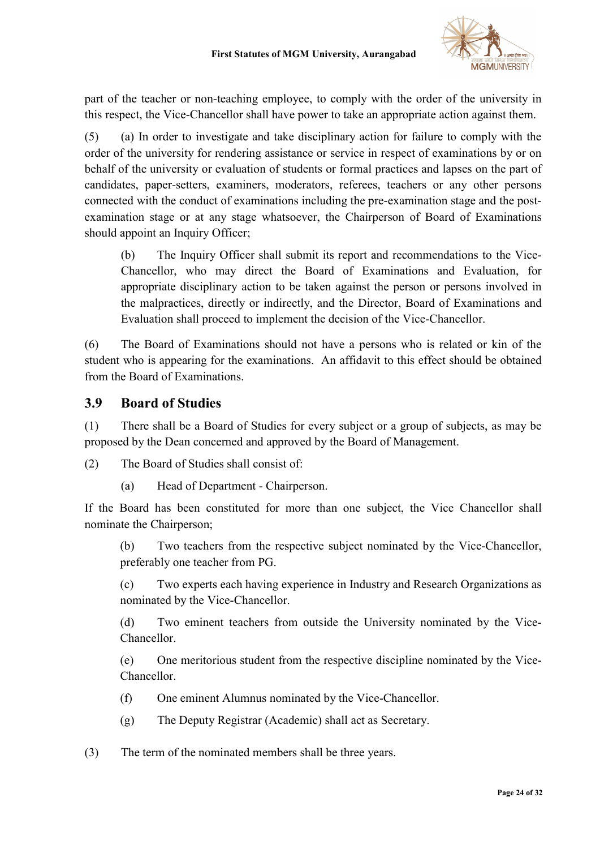

part of the teacher or non-teaching employee, to comply with the order of the university in this respect, the Vice-Chancellor shall have power to take an appropriate action against them.

(5) (a) In order to investigate and take disciplinary action for failure to comply with the order of the university for rendering assistance or service in respect of examinations by or on behalf of the university or evaluation of students or formal practices and lapses on the part of candidates, paper-setters, examiners, moderators, referees, teachers or any other persons connected with the conduct of examinations including the pre-examination stage and the postexamination stage or at any stage whatsoever, the Chairperson of Board of Examinations should appoint an Inquiry Officer;

(b) The Inquiry Officer shall submit its report and recommendations to the Vice-Chancellor, who may direct the Board of Examinations and Evaluation, for appropriate disciplinary action to be taken against the person or persons involved in the malpractices, directly or indirectly, and the Director, Board of Examinations and Evaluation shall proceed to implement the decision of the Vice-Chancellor.

(6) The Board of Examinations should not have a persons who is related or kin of the student who is appearing for the examinations. An affidavit to this effect should be obtained from the Board of Examinations.

#### 3.9 Board of Studies

(1) There shall be a Board of Studies for every subject or a group of subjects, as may be proposed by the Dean concerned and approved by the Board of Management.

(2) The Board of Studies shall consist of:

(a) Head of Department - Chairperson.

If the Board has been constituted for more than one subject, the Vice Chancellor shall nominate the Chairperson;

(b) Two teachers from the respective subject nominated by the Vice-Chancellor, preferably one teacher from PG.

(c) Two experts each having experience in Industry and Research Organizations as nominated by the Vice-Chancellor.

(d) Two eminent teachers from outside the University nominated by the Vice-Chancellor.

(e) One meritorious student from the respective discipline nominated by the Vice-Chancellor.

- (f) One eminent Alumnus nominated by the Vice-Chancellor.
- (g) The Deputy Registrar (Academic) shall act as Secretary.
- (3) The term of the nominated members shall be three years.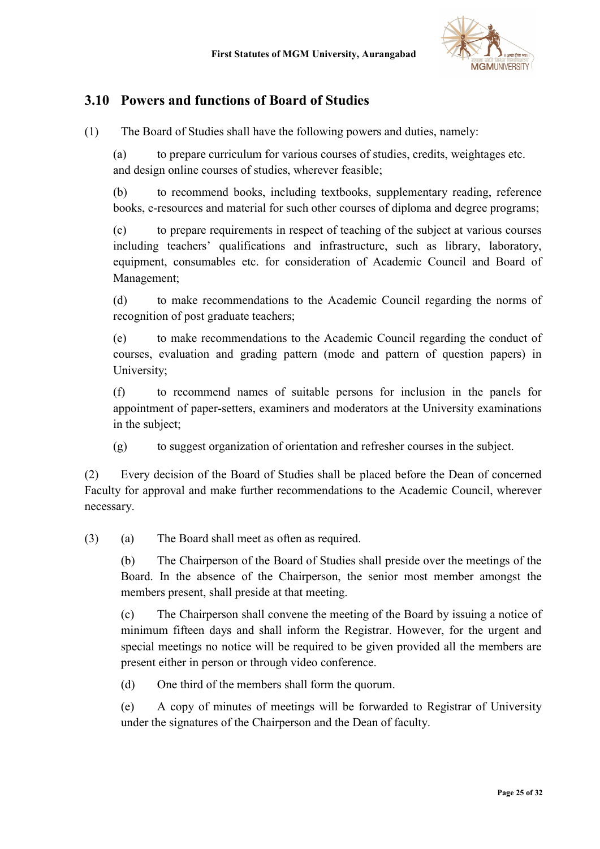

# 3.10 Powers and functions of Board of Studies

(1) The Board of Studies shall have the following powers and duties, namely:

(a) to prepare curriculum for various courses of studies, credits, weightages etc. and design online courses of studies, wherever feasible;

(b) to recommend books, including textbooks, supplementary reading, reference books, e-resources and material for such other courses of diploma and degree programs;

(c) to prepare requirements in respect of teaching of the subject at various courses including teachers' qualifications and infrastructure, such as library, laboratory, equipment, consumables etc. for consideration of Academic Council and Board of Management;

(d) to make recommendations to the Academic Council regarding the norms of recognition of post graduate teachers;

(e) to make recommendations to the Academic Council regarding the conduct of courses, evaluation and grading pattern (mode and pattern of question papers) in University;

(f) to recommend names of suitable persons for inclusion in the panels for appointment of paper-setters, examiners and moderators at the University examinations in the subject;

(g) to suggest organization of orientation and refresher courses in the subject.

(2) Every decision of the Board of Studies shall be placed before the Dean of concerned Faculty for approval and make further recommendations to the Academic Council, wherever necessary.

(3) (a) The Board shall meet as often as required.

(b) The Chairperson of the Board of Studies shall preside over the meetings of the Board. In the absence of the Chairperson, the senior most member amongst the members present, shall preside at that meeting.

(c) The Chairperson shall convene the meeting of the Board by issuing a notice of minimum fifteen days and shall inform the Registrar. However, for the urgent and special meetings no notice will be required to be given provided all the members are present either in person or through video conference.

(d) One third of the members shall form the quorum.

(e) A copy of minutes of meetings will be forwarded to Registrar of University under the signatures of the Chairperson and the Dean of faculty.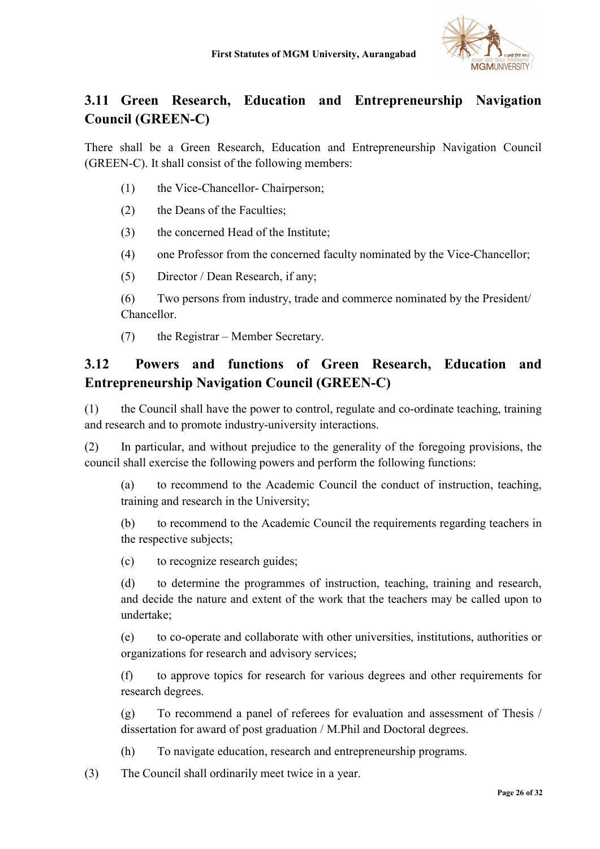

# 3.11 Green Research, Education and Entrepreneurship Navigation Council (GREEN-C)

There shall be a Green Research, Education and Entrepreneurship Navigation Council (GREEN-C). It shall consist of the following members:

- (1) the Vice-Chancellor- Chairperson;
- (2) the Deans of the Faculties;
- (3) the concerned Head of the Institute;
- (4) one Professor from the concerned faculty nominated by the Vice-Chancellor;
- (5) Director / Dean Research, if any;

(6) Two persons from industry, trade and commerce nominated by the President/ Chancellor.

(7) the Registrar – Member Secretary.

# 3.12 Powers and functions of Green Research, Education and Entrepreneurship Navigation Council (GREEN-C)

(1) the Council shall have the power to control, regulate and co-ordinate teaching, training and research and to promote industry-university interactions.

(2) In particular, and without prejudice to the generality of the foregoing provisions, the council shall exercise the following powers and perform the following functions:

(a) to recommend to the Academic Council the conduct of instruction, teaching, training and research in the University;

(b) to recommend to the Academic Council the requirements regarding teachers in the respective subjects;

(c) to recognize research guides;

(d) to determine the programmes of instruction, teaching, training and research, and decide the nature and extent of the work that the teachers may be called upon to undertake;

(e) to co-operate and collaborate with other universities, institutions, authorities or organizations for research and advisory services;

(f) to approve topics for research for various degrees and other requirements for research degrees.

(g) To recommend a panel of referees for evaluation and assessment of Thesis / dissertation for award of post graduation / M.Phil and Doctoral degrees.

(h) To navigate education, research and entrepreneurship programs.

(3) The Council shall ordinarily meet twice in a year.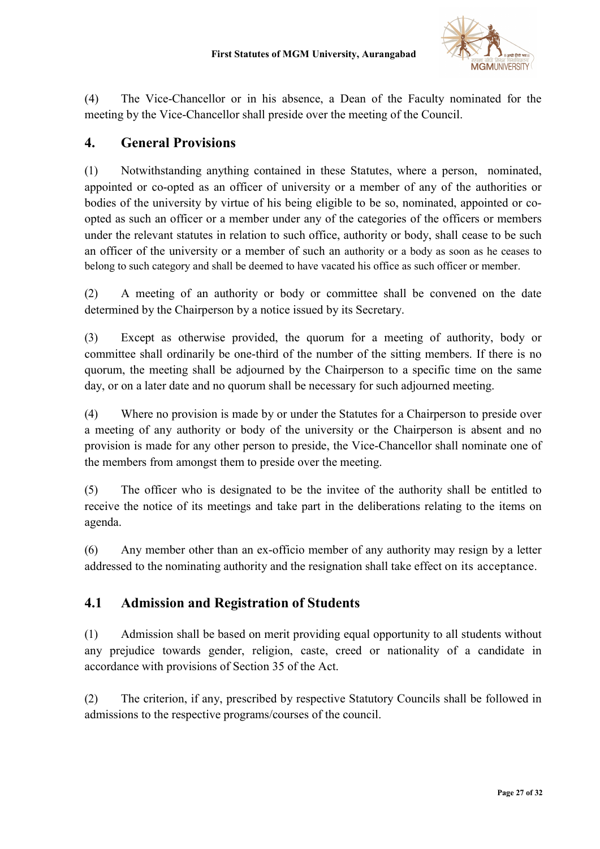

(4) The Vice-Chancellor or in his absence, a Dean of the Faculty nominated for the meeting by the Vice-Chancellor shall preside over the meeting of the Council.

### 4. General Provisions

(1) Notwithstanding anything contained in these Statutes, where a person, nominated, appointed or co-opted as an officer of university or a member of any of the authorities or bodies of the university by virtue of his being eligible to be so, nominated, appointed or coopted as such an officer or a member under any of the categories of the officers or members under the relevant statutes in relation to such office, authority or body, shall cease to be such an officer of the university or a member of such an authority or a body as soon as he ceases to belong to such category and shall be deemed to have vacated his office as such officer or member.

(2) A meeting of an authority or body or committee shall be convened on the date determined by the Chairperson by a notice issued by its Secretary.

(3) Except as otherwise provided, the quorum for a meeting of authority, body or committee shall ordinarily be one-third of the number of the sitting members. If there is no quorum, the meeting shall be adjourned by the Chairperson to a specific time on the same day, or on a later date and no quorum shall be necessary for such adjourned meeting.

(4) Where no provision is made by or under the Statutes for a Chairperson to preside over a meeting of any authority or body of the university or the Chairperson is absent and no provision is made for any other person to preside, the Vice-Chancellor shall nominate one of the members from amongst them to preside over the meeting.

(5) The officer who is designated to be the invitee of the authority shall be entitled to receive the notice of its meetings and take part in the deliberations relating to the items on agenda.

(6) Any member other than an ex-officio member of any authority may resign by a letter addressed to the nominating authority and the resignation shall take effect on its acceptance.

# 4.1 Admission and Registration of Students

(1) Admission shall be based on merit providing equal opportunity to all students without any prejudice towards gender, religion, caste, creed or nationality of a candidate in accordance with provisions of Section 35 of the Act.

(2) The criterion, if any, prescribed by respective Statutory Councils shall be followed in admissions to the respective programs/courses of the council.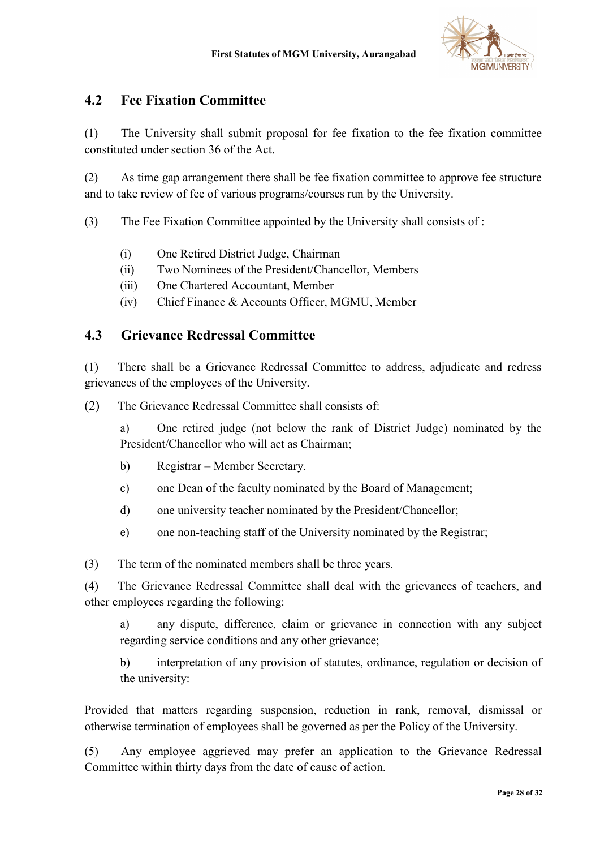

## 4.2 Fee Fixation Committee

(1) The University shall submit proposal for fee fixation to the fee fixation committee constituted under section 36 of the Act.

(2) As time gap arrangement there shall be fee fixation committee to approve fee structure and to take review of fee of various programs/courses run by the University.

(3) The Fee Fixation Committee appointed by the University shall consists of :

- (i) One Retired District Judge, Chairman
- (ii) Two Nominees of the President/Chancellor, Members
- (iii) One Chartered Accountant, Member
- (iv) Chief Finance & Accounts Officer, MGMU, Member

### 4.3 Grievance Redressal Committee

(1) There shall be a Grievance Redressal Committee to address, adjudicate and redress grievances of the employees of the University.

(2) The Grievance Redressal Committee shall consists of:

a) One retired judge (not below the rank of District Judge) nominated by the President/Chancellor who will act as Chairman;

- b) Registrar Member Secretary.
- c) one Dean of the faculty nominated by the Board of Management;
- d) one university teacher nominated by the President/Chancellor;
- e) one non-teaching staff of the University nominated by the Registrar;

(3) The term of the nominated members shall be three years.

(4) The Grievance Redressal Committee shall deal with the grievances of teachers, and other employees regarding the following:

a) any dispute, difference, claim or grievance in connection with any subject regarding service conditions and any other grievance;

b) interpretation of any provision of statutes, ordinance, regulation or decision of the university:

Provided that matters regarding suspension, reduction in rank, removal, dismissal or otherwise termination of employees shall be governed as per the Policy of the University.

(5) Any employee aggrieved may prefer an application to the Grievance Redressal Committee within thirty days from the date of cause of action.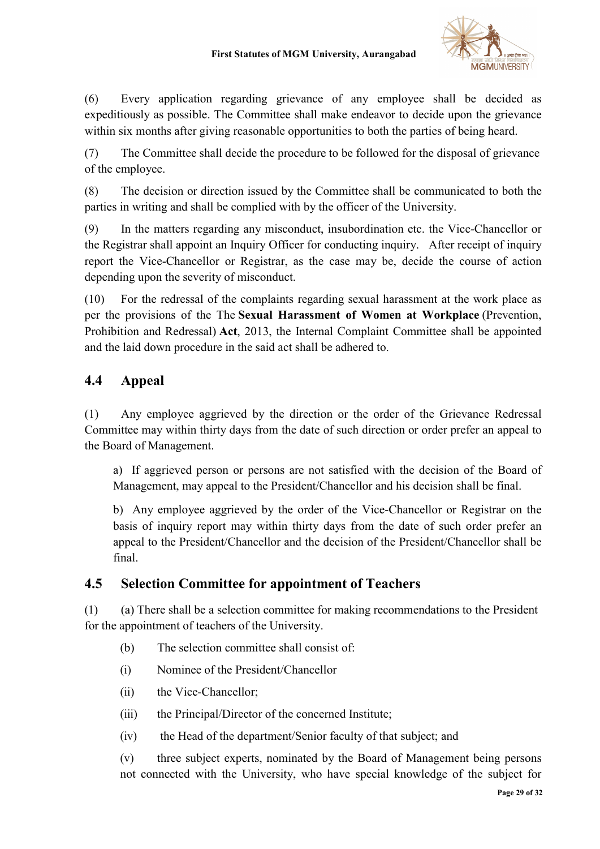

(6) Every application regarding grievance of any employee shall be decided as expeditiously as possible. The Committee shall make endeavor to decide upon the grievance within six months after giving reasonable opportunities to both the parties of being heard.

(7) The Committee shall decide the procedure to be followed for the disposal of grievance of the employee.

(8) The decision or direction issued by the Committee shall be communicated to both the parties in writing and shall be complied with by the officer of the University.

(9) In the matters regarding any misconduct, insubordination etc. the Vice-Chancellor or the Registrar shall appoint an Inquiry Officer for conducting inquiry. After receipt of inquiry report the Vice-Chancellor or Registrar, as the case may be, decide the course of action depending upon the severity of misconduct.

(10) For the redressal of the complaints regarding sexual harassment at the work place as per the provisions of the The Sexual Harassment of Women at Workplace (Prevention, Prohibition and Redressal) Act, 2013, the Internal Complaint Committee shall be appointed and the laid down procedure in the said act shall be adhered to.

# 4.4 Appeal

(1) Any employee aggrieved by the direction or the order of the Grievance Redressal Committee may within thirty days from the date of such direction or order prefer an appeal to the Board of Management.

a) If aggrieved person or persons are not satisfied with the decision of the Board of Management, may appeal to the President/Chancellor and his decision shall be final.

b) Any employee aggrieved by the order of the Vice-Chancellor or Registrar on the basis of inquiry report may within thirty days from the date of such order prefer an appeal to the President/Chancellor and the decision of the President/Chancellor shall be final.

# 4.5 Selection Committee for appointment of Teachers

(1) (a) There shall be a selection committee for making recommendations to the President for the appointment of teachers of the University.

- (b) The selection committee shall consist of:
- (i) Nominee of the President/Chancellor
- (ii) the Vice-Chancellor;
- (iii) the Principal/Director of the concerned Institute;
- (iv) the Head of the department/Senior faculty of that subject; and

(v) three subject experts, nominated by the Board of Management being persons not connected with the University, who have special knowledge of the subject for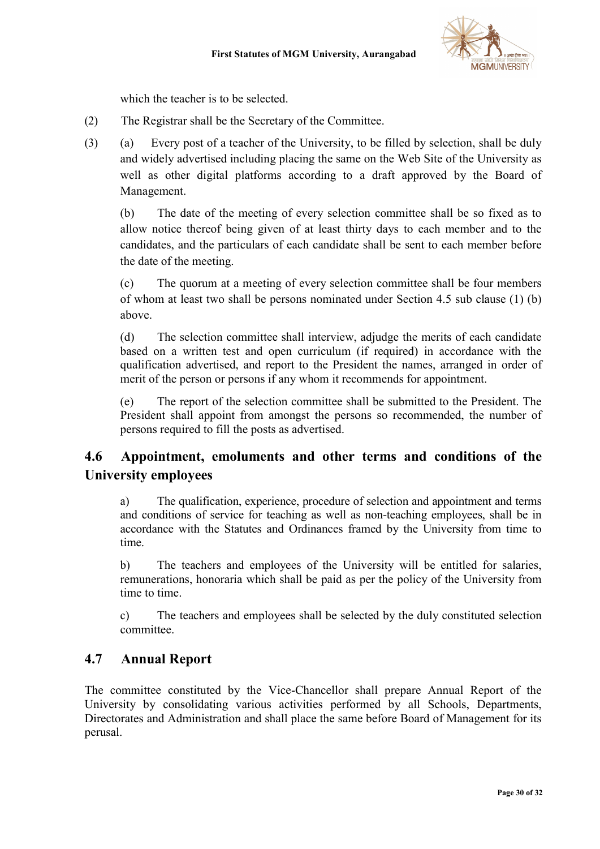

which the teacher is to be selected.

- (2) The Registrar shall be the Secretary of the Committee.
- (3) (a) Every post of a teacher of the University, to be filled by selection, shall be duly and widely advertised including placing the same on the Web Site of the University as well as other digital platforms according to a draft approved by the Board of Management.

(b) The date of the meeting of every selection committee shall be so fixed as to allow notice thereof being given of at least thirty days to each member and to the candidates, and the particulars of each candidate shall be sent to each member before the date of the meeting.

(c) The quorum at a meeting of every selection committee shall be four members of whom at least two shall be persons nominated under Section 4.5 sub clause (1) (b) above.

(d) The selection committee shall interview, adjudge the merits of each candidate based on a written test and open curriculum (if required) in accordance with the qualification advertised, and report to the President the names, arranged in order of merit of the person or persons if any whom it recommends for appointment.

(e) The report of the selection committee shall be submitted to the President. The President shall appoint from amongst the persons so recommended, the number of persons required to fill the posts as advertised.

# 4.6 Appointment, emoluments and other terms and conditions of the University employees

a) The qualification, experience, procedure of selection and appointment and terms and conditions of service for teaching as well as non-teaching employees, shall be in accordance with the Statutes and Ordinances framed by the University from time to time.

b) The teachers and employees of the University will be entitled for salaries, remunerations, honoraria which shall be paid as per the policy of the University from time to time.

c) The teachers and employees shall be selected by the duly constituted selection committee.

# 4.7 Annual Report

The committee constituted by the Vice-Chancellor shall prepare Annual Report of the University by consolidating various activities performed by all Schools, Departments, Directorates and Administration and shall place the same before Board of Management for its perusal.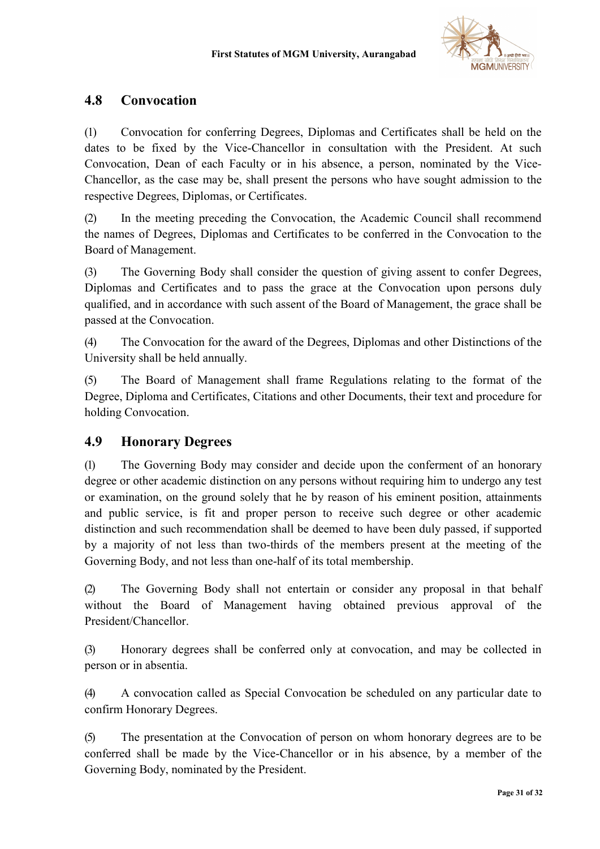

## 4.8 Convocation

(1) Convocation for conferring Degrees, Diplomas and Certificates shall be held on the dates to be fixed by the Vice-Chancellor in consultation with the President. At such Convocation, Dean of each Faculty or in his absence, a person, nominated by the Vice-Chancellor, as the case may be, shall present the persons who have sought admission to the respective Degrees, Diplomas, or Certificates.

(2) In the meeting preceding the Convocation, the Academic Council shall recommend the names of Degrees, Diplomas and Certificates to be conferred in the Convocation to the Board of Management.

(3) The Governing Body shall consider the question of giving assent to confer Degrees, Diplomas and Certificates and to pass the grace at the Convocation upon persons duly qualified, and in accordance with such assent of the Board of Management, the grace shall be passed at the Convocation.

(4) The Convocation for the award of the Degrees, Diplomas and other Distinctions of the University shall be held annually.

(5) The Board of Management shall frame Regulations relating to the format of the Degree, Diploma and Certificates, Citations and other Documents, their text and procedure for holding Convocation.

### 4.9 Honorary Degrees

(1) The Governing Body may consider and decide upon the conferment of an honorary degree or other academic distinction on any persons without requiring him to undergo any test or examination, on the ground solely that he by reason of his eminent position, attainments and public service, is fit and proper person to receive such degree or other academic distinction and such recommendation shall be deemed to have been duly passed, if supported by a majority of not less than two-thirds of the members present at the meeting of the Governing Body, and not less than one-half of its total membership.

(2) The Governing Body shall not entertain or consider any proposal in that behalf without the Board of Management having obtained previous approval of the President/Chancellor.

(3) Honorary degrees shall be conferred only at convocation, and may be collected in person or in absentia.

(4) A convocation called as Special Convocation be scheduled on any particular date to confirm Honorary Degrees.

(5) The presentation at the Convocation of person on whom honorary degrees are to be conferred shall be made by the Vice-Chancellor or in his absence, by a member of the Governing Body, nominated by the President.